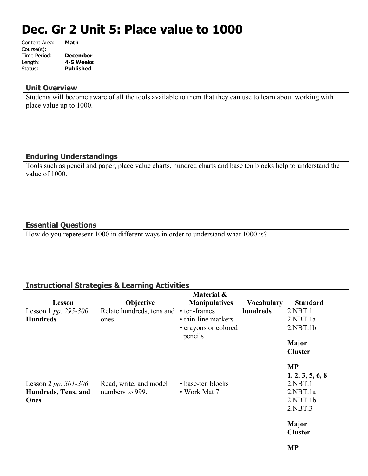# **Dec. Gr 2 Unit 5: Place value to 1000**

| Content Area: | Math             |
|---------------|------------------|
| Course(s):    |                  |
| Time Period:  | <b>December</b>  |
| Length:       | 4-5 Weeks        |
| Status:       | <b>Published</b> |
|               |                  |

#### **Unit Overview**

Students will become aware of all the tools available to them that they can use to learn about working with place value up to 1000.

## **Enduring Understandings**

Tools such as pencil and paper, place value charts, hundred charts and base ten blocks help to understand the value of 1000.

## **Essential Questions**

How do you reperesent 1000 in different ways in order to understand what 1000 is?

## **Instructional Strategies & Learning Activities**

|                        |                           | Material &                      |                   |                  |
|------------------------|---------------------------|---------------------------------|-------------------|------------------|
| Lesson                 | Objective                 | <b>Manipulatives</b>            | <b>Vocabulary</b> | <b>Standard</b>  |
| Lesson 1 pp. 295-300   | Relate hundreds, tens and | • ten-frames                    | hundreds          | 2.NBT.1          |
| <b>Hundreds</b>        | ones.                     | • thin-line markers             |                   | 2.NBT.1a         |
|                        |                           | • crayons or colored<br>pencils |                   | 2.NBT.1b         |
|                        |                           |                                 |                   | Major            |
|                        |                           |                                 |                   | <b>Cluster</b>   |
|                        |                           |                                 |                   | <b>MP</b>        |
|                        |                           |                                 |                   | 1, 2, 3, 5, 6, 8 |
| Lesson 2 pp. $301-306$ | Read, write, and model    | • base-ten blocks               |                   | 2.NBT.1          |
| Hundreds, Tens, and    | numbers to 999.           | • Work Mat 7                    |                   | 2.NBT.1a         |
| Ones                   |                           |                                 |                   | 2.NBT.1b         |
|                        |                           |                                 |                   | 2.NBT.3          |
|                        |                           |                                 |                   | Major            |
|                        |                           |                                 |                   | <b>Cluster</b>   |
|                        |                           |                                 |                   |                  |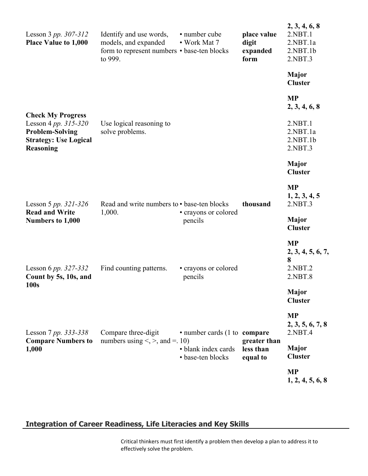| Lesson 3 pp. $307 - 312$<br><b>Place Value to 1,000</b>                                                                            | Identify and use words,<br>models, and expanded<br>form to represent numbers • base-ten blocks<br>to 999. | • number cube<br>• Work Mat 7            | place value<br>digit<br>expanded<br>form | 2, 3, 4, 6, 8<br>2.NBT.1<br>2.NBT.1a<br>2.NBT.1b<br>2.NBT.3 |
|------------------------------------------------------------------------------------------------------------------------------------|-----------------------------------------------------------------------------------------------------------|------------------------------------------|------------------------------------------|-------------------------------------------------------------|
|                                                                                                                                    |                                                                                                           |                                          |                                          | <b>Major</b><br><b>Cluster</b>                              |
|                                                                                                                                    |                                                                                                           |                                          |                                          | <b>MP</b><br>2, 3, 4, 6, 8                                  |
| <b>Check My Progress</b><br>Lesson 4 pp. $315 - 320$<br><b>Problem-Solving</b><br><b>Strategy: Use Logical</b><br><b>Reasoning</b> | Use logical reasoning to<br>solve problems.                                                               |                                          |                                          | 2.NBT.1<br>2.NBT.1a<br>2.NBT.1b<br>2.NBT.3                  |
|                                                                                                                                    |                                                                                                           |                                          |                                          | Major<br><b>Cluster</b>                                     |
| Lesson 5 pp. $321 - 326$                                                                                                           | Read and write numbers to • base-ten blocks                                                               |                                          | thousand                                 | <b>MP</b><br>1, 2, 3, 4, 5<br>2.NBT.3                       |
| <b>Read and Write</b><br>Numbers to 1,000                                                                                          | 1,000.                                                                                                    | • crayons or colored<br>pencils          |                                          | <b>Major</b><br><b>Cluster</b>                              |
| Lesson 6 pp. $327 - 332$<br>Count by 5s, 10s, and                                                                                  | Find counting patterns.                                                                                   | • crayons or colored<br>pencils          |                                          | <b>MP</b><br>2, 3, 4, 5, 6, 7,<br>8<br>2.NBT.2<br>2.NBT.8   |
| 100s                                                                                                                               |                                                                                                           |                                          |                                          | <b>Major</b><br><b>Cluster</b>                              |
| Lesson 7 pp. 333-338                                                                                                               | Compare three-digit                                                                                       | • number cards (1 to compare             |                                          | <b>MP</b><br>2, 3, 5, 6, 7, 8<br>2.NBT.4                    |
| <b>Compare Numbers to</b><br>1,000                                                                                                 | numbers using $\leq, \geq,$ and $\equiv$ . 10)                                                            | • blank index cards<br>· base-ten blocks | greater than<br>less than<br>equal to    | Major<br><b>Cluster</b>                                     |
|                                                                                                                                    |                                                                                                           |                                          |                                          | <b>MP</b><br>1, 2, 4, 5, 6, 8                               |
|                                                                                                                                    |                                                                                                           |                                          |                                          |                                                             |

## **Integration of Career Readiness, Life Literacies and Key Skills**

Critical thinkers must first identify a problem then develop a plan to address it to effectively solve the problem.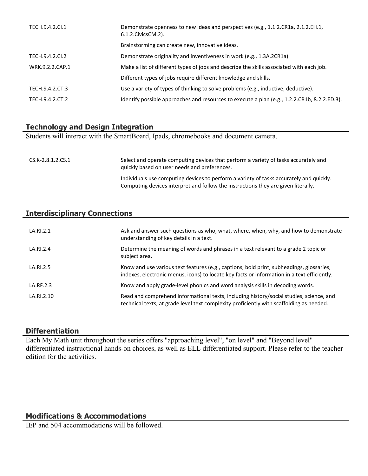| TECH.9.4.2.CI.1 | Demonstrate openness to new ideas and perspectives (e.g., 1.1.2.CR1a, 2.1.2.EH.1,<br>6.1.2. Civics CM. 2). |
|-----------------|------------------------------------------------------------------------------------------------------------|
|                 | Brainstorming can create new, innovative ideas.                                                            |
| TECH.9.4.2.CI.2 | Demonstrate originality and inventiveness in work (e.g., 1.3A.2CR1a).                                      |
| WRK.9.2.2.CAP.1 | Make a list of different types of jobs and describe the skills associated with each job.                   |
|                 | Different types of jobs require different knowledge and skills.                                            |
| TECH.9.4.2.CT.3 | Use a variety of types of thinking to solve problems (e.g., inductive, deductive).                         |
| TECH.9.4.2.CT.2 | Identify possible approaches and resources to execute a plan (e.g., 1.2.2.CR1b, 8.2.2.ED.3).               |

## **Technology and Design Integration**

Students will interact with the SmartBoard, Ipads, chromebooks and document camera.

| CS.K-2.8.1.2.CS.1 | Select and operate computing devices that perform a variety of tasks accurately and<br>quickly based on user needs and preferences.                                          |
|-------------------|------------------------------------------------------------------------------------------------------------------------------------------------------------------------------|
|                   | Individuals use computing devices to perform a variety of tasks accurately and quickly.<br>Computing devices interpret and follow the instructions they are given literally. |

## **Interdisciplinary Connections**

| LA.RI.2.1  | Ask and answer such questions as who, what, where, when, why, and how to demonstrate<br>understanding of key details in a text.                                                         |
|------------|-----------------------------------------------------------------------------------------------------------------------------------------------------------------------------------------|
| LA.RI.2.4  | Determine the meaning of words and phrases in a text relevant to a grade 2 topic or<br>subject area.                                                                                    |
| LA.RI.2.5  | Know and use various text features (e.g., captions, bold print, subheadings, glossaries,<br>indexes, electronic menus, icons) to locate key facts or information in a text efficiently. |
| LA.RF.2.3  | Know and apply grade-level phonics and word analysis skills in decoding words.                                                                                                          |
| LA.RI.2.10 | Read and comprehend informational texts, including history/social studies, science, and<br>technical texts, at grade level text complexity proficiently with scaffolding as needed.     |

#### **Differentiation**

Each My Math unit throughout the series offers "approaching level", "on level" and "Beyond level" differentiated instructional hands-on choices, as well as ELL differentiated support. Please refer to the teacher edition for the activities.

### **Modifications & Accommodations**

IEP and 504 accommodations will be followed.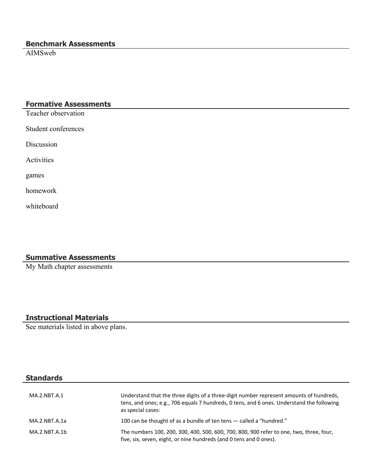## **Benchmark Assessments**

AIMSweb

## **Formative Assessments**

Teacher observation

Student conferences

Discussion

Activities

games

homework

whiteboard

## **Summative Assessments**

My Math chapter assessments

## **Instructional Materials**

See materials listed in above plans.

## **Standards**

| MA.2.NBT.A.1  | Understand that the three digits of a three-digit number represent amounts of hundreds,<br>tens, and ones; e.g., 706 equals 7 hundreds, 0 tens, and 6 ones. Understand the following<br>as special cases: |
|---------------|-----------------------------------------------------------------------------------------------------------------------------------------------------------------------------------------------------------|
| MA.2.NBT.A.1a | 100 can be thought of as a bundle of ten tens – called a "hundred."                                                                                                                                       |
| MA.2.NBT.A.1b | The numbers 100, 200, 300, 400, 500, 600, 700, 800, 900 refer to one, two, three, four,<br>five, six, seven, eight, or nine hundreds (and 0 tens and 0 ones).                                             |